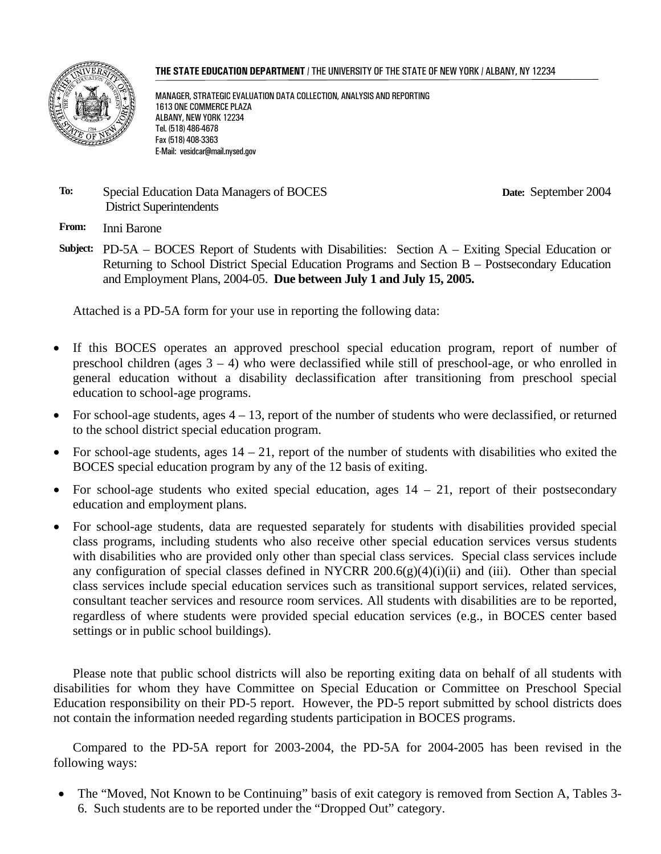#### **THE STATE EDUCATION DEPARTMENT** / THE UNIVERSITY OF THE STATE OF NEW YORK / ALBANY, NY 12234



MANAGER, STRATEGIC EVALUATION DATA COLLECTION, ANALYSIS AND REPORTING 1613 ONE COMMERCE PLAZA ALBANY, NEW YORK 12234 Tel. (518) 486-4678 Fax (518) 408-3363 E-Mail: vesidcar@mail.nysed.gov

#### **To:** Special Education Data Managers of BOCES District Superintendents

**Date:** September 2004

**From:** Inni Barone

**Subject:** PD-5A – BOCES Report of Students with Disabilities: Section A – Exiting Special Education or Returning to School District Special Education Programs and Section B – Postsecondary Education and Employment Plans, 2004-05. **Due between July 1 and July 15, 2005.** 

Attached is a PD-5A form for your use in reporting the following data:

- If this BOCES operates an approved preschool special education program, report of number of preschool children (ages  $3 - 4$ ) who were declassified while still of preschool-age, or who enrolled in general education without a disability declassification after transitioning from preschool special education to school-age programs.
- For school-age students, ages  $4 13$ , report of the number of students who were declassified, or returned to the school district special education program.
- For school-age students, ages  $14 21$ , report of the number of students with disabilities who exited the BOCES special education program by any of the 12 basis of exiting.
- For school-age students who exited special education, ages  $14 21$ , report of their postsecondary education and employment plans.
- For school-age students, data are requested separately for students with disabilities provided special class programs, including students who also receive other special education services versus students with disabilities who are provided only other than special class services. Special class services include any configuration of special classes defined in NYCRR  $200.6(g)(4)(i)(ii)$  and (iii). Other than special class services include special education services such as transitional support services, related services, consultant teacher services and resource room services. All students with disabilities are to be reported, regardless of where students were provided special education services (e.g., in BOCES center based settings or in public school buildings).

Please note that public school districts will also be reporting exiting data on behalf of all students with disabilities for whom they have Committee on Special Education or Committee on Preschool Special Education responsibility on their PD-5 report. However, the PD-5 report submitted by school districts does not contain the information needed regarding students participation in BOCES programs.

Compared to the PD-5A report for 2003-2004, the PD-5A for 2004-2005 has been revised in the following ways:

• The "Moved, Not Known to be Continuing" basis of exit category is removed from Section A, Tables 3-6. Such students are to be reported under the "Dropped Out" category.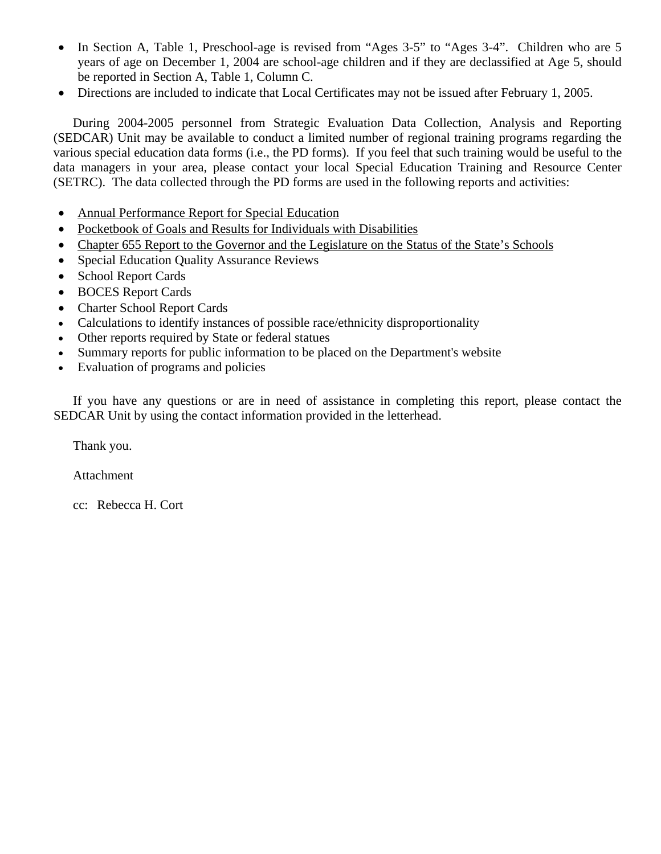- In Section A, Table 1, Preschool-age is revised from "Ages 3-5" to "Ages 3-4". Children who are 5 years of age on December 1, 2004 are school-age children and if they are declassified at Age 5, should be reported in Section A, Table 1, Column C.
- Directions are included to indicate that Local Certificates may not be issued after February 1, 2005.

During 2004-2005 personnel from Strategic Evaluation Data Collection, Analysis and Reporting (SEDCAR) Unit may be available to conduct a limited number of regional training programs regarding the various special education data forms (i.e., the PD forms). If you feel that such training would be useful to the data managers in your area, please contact your local Special Education Training and Resource Center (SETRC). The data collected through the PD forms are used in the following reports and activities:

- Annual Performance Report for Special Education
- Pocketbook of Goals and Results for Individuals with Disabilities
- Chapter 655 Report to the Governor and the Legislature on the Status of the State's Schools
- Special Education Quality Assurance Reviews
- School Report Cards
- BOCES Report Cards
- Charter School Report Cards
- Calculations to identify instances of possible race/ethnicity disproportionality
- Other reports required by State or federal statues
- Summary reports for public information to be placed on the Department's website
- Evaluation of programs and policies

If you have any questions or are in need of assistance in completing this report, please contact the SEDCAR Unit by using the contact information provided in the letterhead.

Thank you.

Attachment

cc: Rebecca H. Cort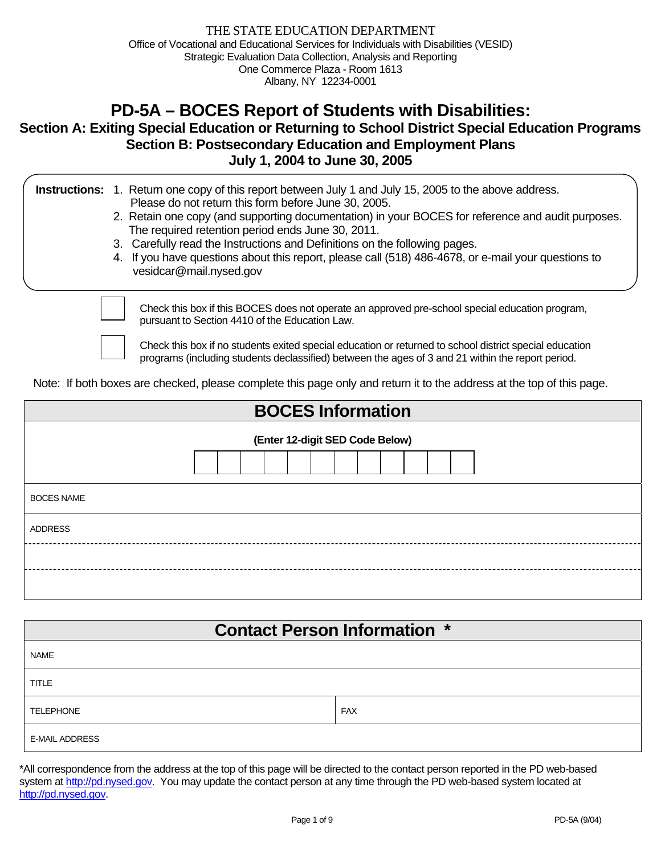# **PD-5A – BOCES Report of Students with Disabilities:**

# **Section A: Exiting Special Education or Returning to School District Special Education Programs Section B: Postsecondary Education and Employment Plans July 1, 2004 to June 30, 2005**

|  | <b>Instructions:</b> 1. Return one copy of this report between July 1 and July 15, 2005 to the above address. |
|--|---------------------------------------------------------------------------------------------------------------|
|  | Please do not return this form before June 30, 2005.                                                          |

- 2. Retain one copy (and supporting documentation) in your BOCES for reference and audit purposes. The required retention period ends June 30, 2011.
- 3. Carefully read the Instructions and Definitions on the following pages.
- 4. If you have questions about this report, please call (518) 486-4678, or e-mail your questions to vesidcar@mail.nysed.gov

Check this box if this BOCES does not operate an approved pre-school special education program, pursuant to Section 4410 of the Education Law.

Check this box if no students exited special education or returned to school district special education programs (including students declassified) between the ages of 3 and 21 within the report period.

Note: If both boxes are checked, please complete this page only and return it to the address at the top of this page.

| <b>BOCES Information</b>        |  |  |  |  |  |  |  |  |  |
|---------------------------------|--|--|--|--|--|--|--|--|--|
| (Enter 12-digit SED Code Below) |  |  |  |  |  |  |  |  |  |
| <b>BOCES NAME</b>               |  |  |  |  |  |  |  |  |  |
| <b>ADDRESS</b>                  |  |  |  |  |  |  |  |  |  |
|                                 |  |  |  |  |  |  |  |  |  |
|                                 |  |  |  |  |  |  |  |  |  |

| <b>Contact Person Information *</b> |            |  |  |  |  |  |  |  |  |
|-------------------------------------|------------|--|--|--|--|--|--|--|--|
| <b>NAME</b>                         |            |  |  |  |  |  |  |  |  |
| <b>TITLE</b>                        |            |  |  |  |  |  |  |  |  |
| <b>TELEPHONE</b>                    | <b>FAX</b> |  |  |  |  |  |  |  |  |
| <b>E-MAIL ADDRESS</b>               |            |  |  |  |  |  |  |  |  |

\*All correspondence from the address at the top of this page will be directed to the contact person reported in the PD web-based system at http://pd.nysed.gov. You may update the contact person at any time through the PD web-based system located at http://pd.nysed.gov.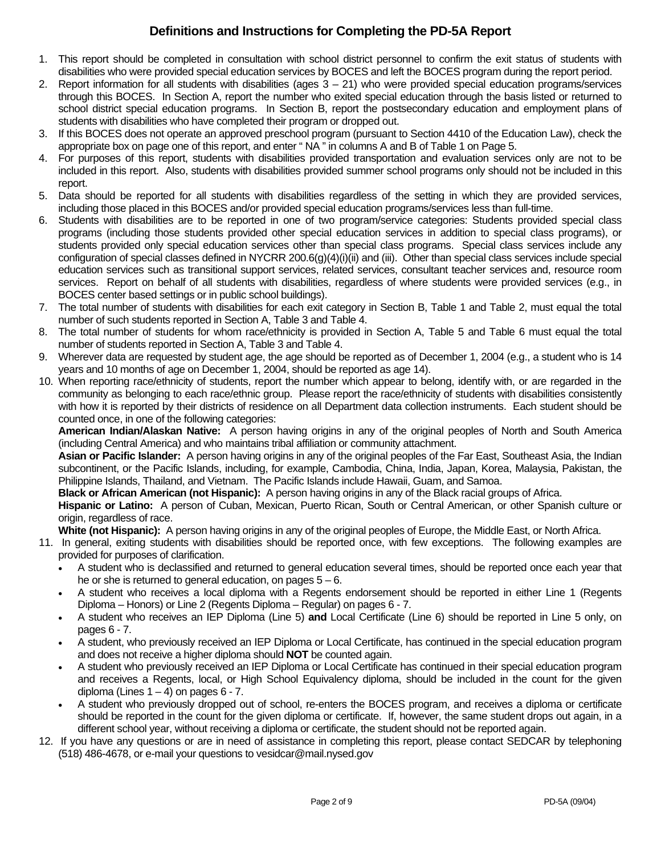# **Definitions and Instructions for Completing the PD-5A Report**

- 1. This report should be completed in consultation with school district personnel to confirm the exit status of students with disabilities who were provided special education services by BOCES and left the BOCES program during the report period.
- 2. Report information for all students with disabilities (ages  $3 21$ ) who were provided special education programs/services through this BOCES. In Section A, report the number who exited special education through the basis listed or returned to school district special education programs. In Section B, report the postsecondary education and employment plans of students with disabilities who have completed their program or dropped out.
- 3. If this BOCES does not operate an approved preschool program (pursuant to Section 4410 of the Education Law), check the appropriate box on page one of this report, and enter " NA " in columns A and B of Table 1 on Page 5.
- 4. For purposes of this report, students with disabilities provided transportation and evaluation services only are not to be included in this report. Also, students with disabilities provided summer school programs only should not be included in this report.
- 5. Data should be reported for all students with disabilities regardless of the setting in which they are provided services, including those placed in this BOCES and/or provided special education programs/services less than full-time.
- 6. Students with disabilities are to be reported in one of two program/service categories: Students provided special class programs (including those students provided other special education services in addition to special class programs), or students provided only special education services other than special class programs. Special class services include any configuration of special classes defined in NYCRR 200.6(g)(4)(i)(ii) and (iii). Other than special class services include special education services such as transitional support services, related services, consultant teacher services and, resource room services. Report on behalf of all students with disabilities, regardless of where students were provided services (e.g., in BOCES center based settings or in public school buildings).
- 7. The total number of students with disabilities for each exit category in Section B, Table 1 and Table 2, must equal the total number of such students reported in Section A, Table 3 and Table 4.
- 8. The total number of students for whom race/ethnicity is provided in Section A, Table 5 and Table 6 must equal the total number of students reported in Section A, Table 3 and Table 4.
- 9. Wherever data are requested by student age, the age should be reported as of December 1, 2004 (e.g., a student who is 14 years and 10 months of age on December 1, 2004, should be reported as age 14).
- 10. When reporting race/ethnicity of students, report the number which appear to belong, identify with, or are regarded in the community as belonging to each race/ethnic group. Please report the race/ethnicity of students with disabilities consistently with how it is reported by their districts of residence on all Department data collection instruments. Each student should be counted once, in one of the following categories:

**American Indian/Alaskan Native:** A person having origins in any of the original peoples of North and South America (including Central America) and who maintains tribal affiliation or community attachment.

**Asian or Pacific Islander:** A person having origins in any of the original peoples of the Far East, Southeast Asia, the Indian subcontinent, or the Pacific Islands, including, for example, Cambodia, China, India, Japan, Korea, Malaysia, Pakistan, the Philippine Islands, Thailand, and Vietnam. The Pacific Islands include Hawaii, Guam, and Samoa.

**Black or African American (not Hispanic):** A person having origins in any of the Black racial groups of Africa.

**Hispanic or Latino:** A person of Cuban, Mexican, Puerto Rican, South or Central American, or other Spanish culture or origin, regardless of race.

**White (not Hispanic):** A person having origins in any of the original peoples of Europe, the Middle East, or North Africa.

- 11. In general, exiting students with disabilities should be reported once, with few exceptions. The following examples are provided for purposes of clarification.
	- A student who is declassified and returned to general education several times, should be reported once each year that he or she is returned to general education, on pages  $5 - 6$ .
	- A student who receives a local diploma with a Regents endorsement should be reported in either Line 1 (Regents Diploma – Honors) or Line 2 (Regents Diploma – Regular) on pages 6 - 7.
	- A student who receives an IEP Diploma (Line 5) **and** Local Certificate (Line 6) should be reported in Line 5 only, on pages 6 - 7.
	- A student, who previously received an IEP Diploma or Local Certificate, has continued in the special education program and does not receive a higher diploma should **NOT** be counted again.
	- A student who previously received an IEP Diploma or Local Certificate has continued in their special education program and receives a Regents, local, or High School Equivalency diploma, should be included in the count for the given diploma (Lines  $1 - 4$ ) on pages  $6 - 7$ .
	- A student who previously dropped out of school, re-enters the BOCES program, and receives a diploma or certificate should be reported in the count for the given diploma or certificate. If, however, the same student drops out again, in a different school year, without receiving a diploma or certificate, the student should not be reported again.
- 12. If you have any questions or are in need of assistance in completing this report, please contact SEDCAR by telephoning (518) 486-4678, or e-mail your questions to vesidcar@mail.nysed.gov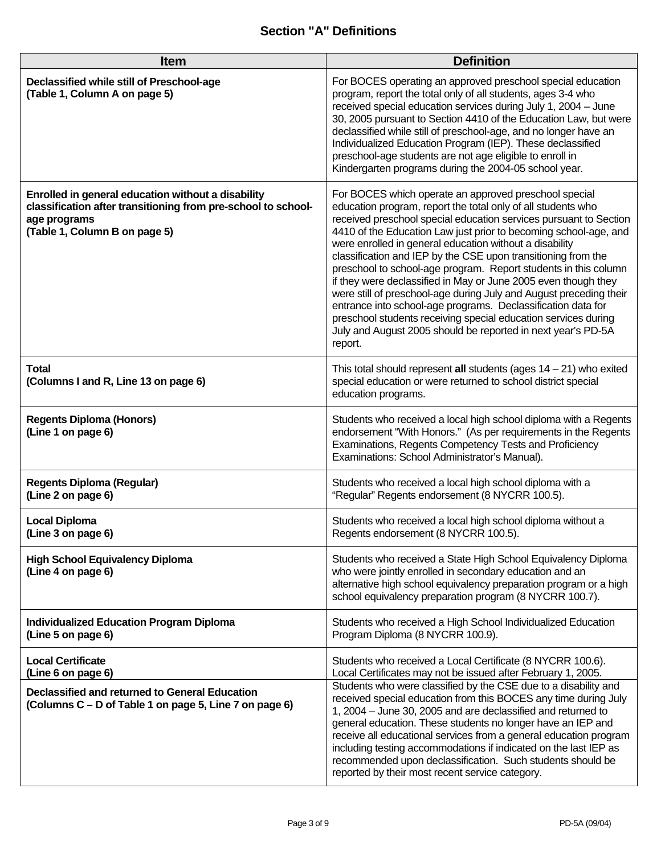# **Section "A" Definitions**

| Item                                                                                                                                                                 | <b>Definition</b>                                                                                                                                                                                                                                                                                                                                                                                                                                                                                                                                                                                                                                                                                                                                                                                                  |
|----------------------------------------------------------------------------------------------------------------------------------------------------------------------|--------------------------------------------------------------------------------------------------------------------------------------------------------------------------------------------------------------------------------------------------------------------------------------------------------------------------------------------------------------------------------------------------------------------------------------------------------------------------------------------------------------------------------------------------------------------------------------------------------------------------------------------------------------------------------------------------------------------------------------------------------------------------------------------------------------------|
| Declassified while still of Preschool-age<br>(Table 1, Column A on page 5)                                                                                           | For BOCES operating an approved preschool special education<br>program, report the total only of all students, ages 3-4 who<br>received special education services during July 1, 2004 - June<br>30, 2005 pursuant to Section 4410 of the Education Law, but were<br>declassified while still of preschool-age, and no longer have an<br>Individualized Education Program (IEP). These declassified<br>preschool-age students are not age eligible to enroll in<br>Kindergarten programs during the 2004-05 school year.                                                                                                                                                                                                                                                                                           |
| Enrolled in general education without a disability<br>classification after transitioning from pre-school to school-<br>age programs<br>(Table 1, Column B on page 5) | For BOCES which operate an approved preschool special<br>education program, report the total only of all students who<br>received preschool special education services pursuant to Section<br>4410 of the Education Law just prior to becoming school-age, and<br>were enrolled in general education without a disability<br>classification and IEP by the CSE upon transitioning from the<br>preschool to school-age program. Report students in this column<br>if they were declassified in May or June 2005 even though they<br>were still of preschool-age during July and August preceding their<br>entrance into school-age programs. Declassification data for<br>preschool students receiving special education services during<br>July and August 2005 should be reported in next year's PD-5A<br>report. |
| <b>Total</b><br>(Columns I and R, Line 13 on page 6)                                                                                                                 | This total should represent all students (ages $14 - 21$ ) who exited<br>special education or were returned to school district special<br>education programs.                                                                                                                                                                                                                                                                                                                                                                                                                                                                                                                                                                                                                                                      |
| <b>Regents Diploma (Honors)</b><br>(Line 1 on page 6)                                                                                                                | Students who received a local high school diploma with a Regents<br>endorsement "With Honors." (As per requirements in the Regents<br>Examinations, Regents Competency Tests and Proficiency<br>Examinations: School Administrator's Manual).                                                                                                                                                                                                                                                                                                                                                                                                                                                                                                                                                                      |
| <b>Regents Diploma (Regular)</b><br>(Line 2 on page 6)                                                                                                               | Students who received a local high school diploma with a<br>"Regular" Regents endorsement (8 NYCRR 100.5).                                                                                                                                                                                                                                                                                                                                                                                                                                                                                                                                                                                                                                                                                                         |
| <b>Local Diploma</b><br>(Line 3 on page 6)                                                                                                                           | Students who received a local high school diploma without a<br>Regents endorsement (8 NYCRR 100.5).                                                                                                                                                                                                                                                                                                                                                                                                                                                                                                                                                                                                                                                                                                                |
| <b>High School Equivalency Diploma</b><br>(Line 4 on page 6)                                                                                                         | Students who received a State High School Equivalency Diploma<br>who were jointly enrolled in secondary education and an<br>alternative high school equivalency preparation program or a high<br>school equivalency preparation program (8 NYCRR 100.7).                                                                                                                                                                                                                                                                                                                                                                                                                                                                                                                                                           |
| <b>Individualized Education Program Diploma</b><br>(Line 5 on page 6)                                                                                                | Students who received a High School Individualized Education<br>Program Diploma (8 NYCRR 100.9).                                                                                                                                                                                                                                                                                                                                                                                                                                                                                                                                                                                                                                                                                                                   |
| <b>Local Certificate</b><br>(Line 6 on page 6)                                                                                                                       | Students who received a Local Certificate (8 NYCRR 100.6).<br>Local Certificates may not be issued after February 1, 2005.                                                                                                                                                                                                                                                                                                                                                                                                                                                                                                                                                                                                                                                                                         |
| Declassified and returned to General Education<br>(Columns C – D of Table 1 on page 5, Line 7 on page 6)                                                             | Students who were classified by the CSE due to a disability and<br>received special education from this BOCES any time during July<br>1, 2004 – June 30, 2005 and are declassified and returned to<br>general education. These students no longer have an IEP and<br>receive all educational services from a general education program<br>including testing accommodations if indicated on the last IEP as<br>recommended upon declassification. Such students should be<br>reported by their most recent service category.                                                                                                                                                                                                                                                                                        |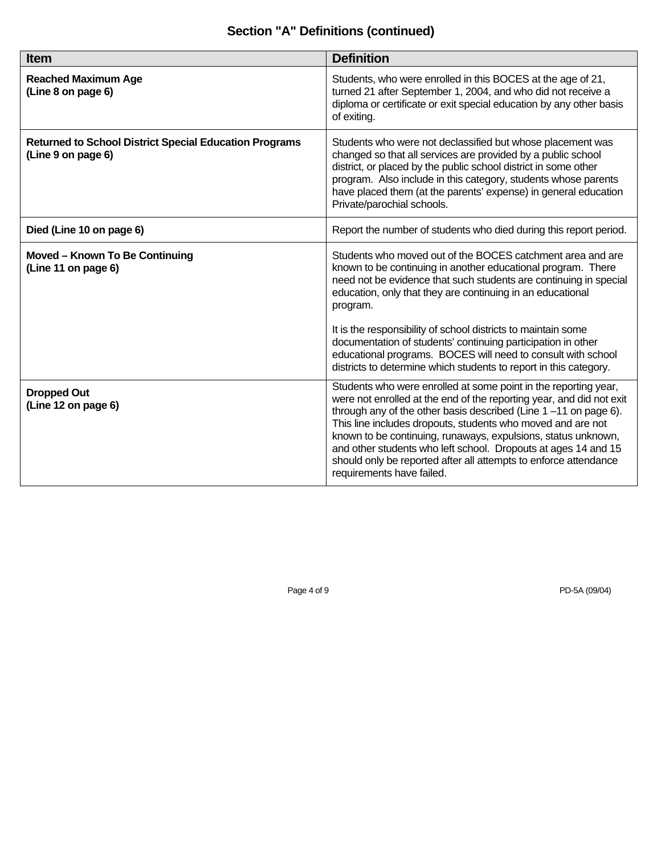# **Section "A" Definitions (continued)**

| <b>Item</b>                                                                         | <b>Definition</b>                                                                                                                                                                                                                                                                                                                                                                                                                                                                                                 |
|-------------------------------------------------------------------------------------|-------------------------------------------------------------------------------------------------------------------------------------------------------------------------------------------------------------------------------------------------------------------------------------------------------------------------------------------------------------------------------------------------------------------------------------------------------------------------------------------------------------------|
| <b>Reached Maximum Age</b><br>(Line 8 on page 6)                                    | Students, who were enrolled in this BOCES at the age of 21,<br>turned 21 after September 1, 2004, and who did not receive a<br>diploma or certificate or exit special education by any other basis<br>of exiting.                                                                                                                                                                                                                                                                                                 |
| <b>Returned to School District Special Education Programs</b><br>(Line 9 on page 6) | Students who were not declassified but whose placement was<br>changed so that all services are provided by a public school<br>district, or placed by the public school district in some other<br>program. Also include in this category, students whose parents<br>have placed them (at the parents' expense) in general education<br>Private/parochial schools.                                                                                                                                                  |
| Died (Line 10 on page 6)                                                            | Report the number of students who died during this report period.                                                                                                                                                                                                                                                                                                                                                                                                                                                 |
| Moved - Known To Be Continuing<br>(Line 11 on page 6)                               | Students who moved out of the BOCES catchment area and are<br>known to be continuing in another educational program. There<br>need not be evidence that such students are continuing in special<br>education, only that they are continuing in an educational<br>program.                                                                                                                                                                                                                                         |
|                                                                                     | It is the responsibility of school districts to maintain some<br>documentation of students' continuing participation in other<br>educational programs. BOCES will need to consult with school<br>districts to determine which students to report in this category.                                                                                                                                                                                                                                                |
| <b>Dropped Out</b><br>(Line 12 on page 6)                                           | Students who were enrolled at some point in the reporting year,<br>were not enrolled at the end of the reporting year, and did not exit<br>through any of the other basis described (Line $1 - 11$ on page 6).<br>This line includes dropouts, students who moved and are not<br>known to be continuing, runaways, expulsions, status unknown,<br>and other students who left school. Dropouts at ages 14 and 15<br>should only be reported after all attempts to enforce attendance<br>requirements have failed. |

Page 4 of 9 PD-5A (09/04)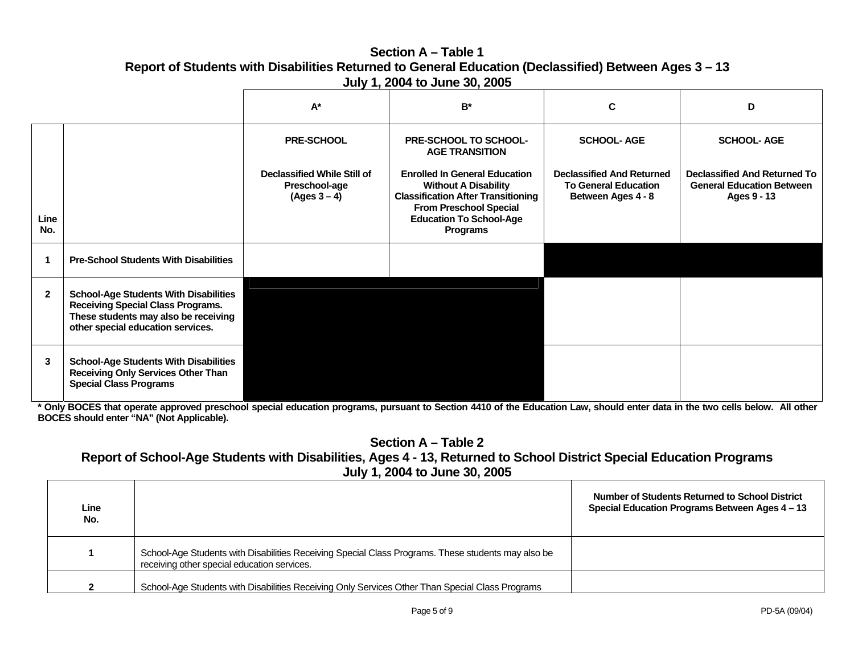### **Section A – Table 1Report of Students with Disabilities Returned to General Education (Declassified) Between Ages 3 – 13 July 1, 2004 to June 30, 2005**

|              |                                                                                                                                                                       | $A^*$                                                                 | $B^*$                                                                                                                                                                                           | C                                                                                     | D                                                                                      |
|--------------|-----------------------------------------------------------------------------------------------------------------------------------------------------------------------|-----------------------------------------------------------------------|-------------------------------------------------------------------------------------------------------------------------------------------------------------------------------------------------|---------------------------------------------------------------------------------------|----------------------------------------------------------------------------------------|
|              |                                                                                                                                                                       | <b>PRE-SCHOOL</b>                                                     | PRE-SCHOOL TO SCHOOL-<br><b>AGE TRANSITION</b>                                                                                                                                                  | <b>SCHOOL-AGE</b>                                                                     | <b>SCHOOL-AGE</b>                                                                      |
| Line<br>No.  |                                                                                                                                                                       | <b>Declassified While Still of</b><br>Preschool-age<br>$(Ages 3 - 4)$ | <b>Enrolled In General Education</b><br><b>Without A Disability</b><br><b>Classification After Transitioning</b><br><b>From Preschool Special</b><br><b>Education To School-Age</b><br>Programs | <b>Declassified And Returned</b><br><b>To General Education</b><br>Between Ages 4 - 8 | <b>Declassified And Returned To</b><br><b>General Education Between</b><br>Ages 9 - 13 |
|              | <b>Pre-School Students With Disabilities</b>                                                                                                                          |                                                                       |                                                                                                                                                                                                 |                                                                                       |                                                                                        |
| $\mathbf{2}$ | <b>School-Age Students With Disabilities</b><br><b>Receiving Special Class Programs.</b><br>These students may also be receiving<br>other special education services. |                                                                       |                                                                                                                                                                                                 |                                                                                       |                                                                                        |
| 3            | <b>School-Age Students With Disabilities</b><br><b>Receiving Only Services Other Than</b><br><b>Special Class Programs</b>                                            |                                                                       |                                                                                                                                                                                                 |                                                                                       |                                                                                        |

**\* Only BOCES that operate approved preschool special education programs, pursuant to Section 4410 of the Education Law, should enter data in the two cells below. All other BOCES should enter "NA" (Not Applicable).** 

**Section A – Table 2** 

# **Report of School-Age Students with Disabilities, Ages 4 - 13, Returned to School District Special Education Programs July 1, 2004 to June 30, 2005**

| Line<br>No. |                                                                                                                                                   | <b>Number of Students Returned to School District</b><br>Special Education Programs Between Ages 4 - 13 |
|-------------|---------------------------------------------------------------------------------------------------------------------------------------------------|---------------------------------------------------------------------------------------------------------|
|             | School-Age Students with Disabilities Receiving Special Class Programs. These students may also be<br>receiving other special education services. |                                                                                                         |
|             | School-Age Students with Disabilities Receiving Only Services Other Than Special Class Programs                                                   |                                                                                                         |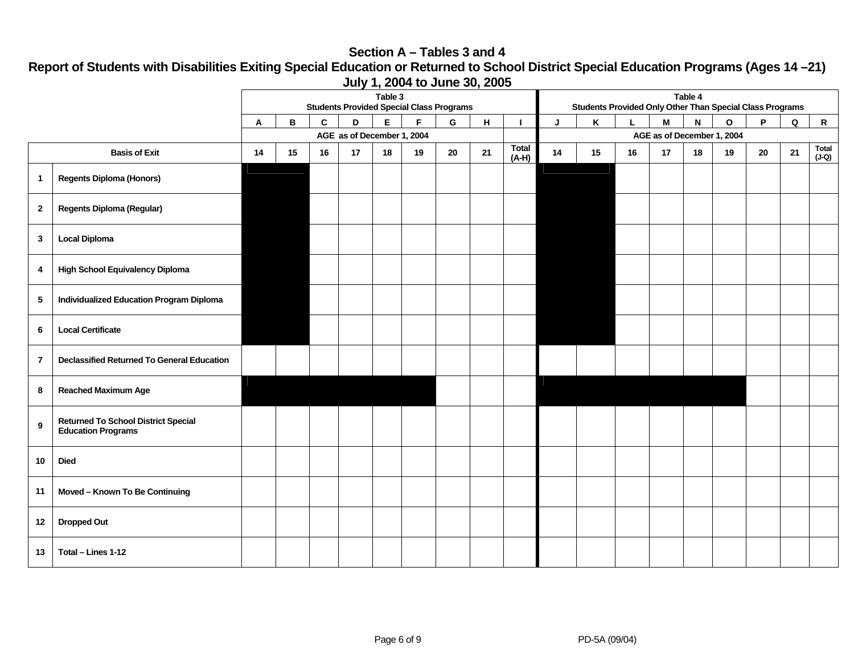#### **Section A – Tables 3 and 4**

**Report of Students with Disabilities Exiting Special Education or Returned to School District Special Education Programs (Ages 14 –21) July 1, 2004 to June 30, 2005** 

|                |                                                                         | Table 3<br>Table 4<br><b>Students Provided Special Class Programs</b><br><b>Students Provided Only Other Than Special Class Programs</b> |    |    |    |    |    |    |    |              |    |    |    |                            |              |    |    |              |              |
|----------------|-------------------------------------------------------------------------|------------------------------------------------------------------------------------------------------------------------------------------|----|----|----|----|----|----|----|--------------|----|----|----|----------------------------|--------------|----|----|--------------|--------------|
|                |                                                                         | F<br>G<br>н<br>в<br>C<br>D<br>Е<br>Α<br>п<br>AGE as of December 1, 2004                                                                  |    |    |    |    |    |    |    | J            | Κ  |    | M  | N                          | $\mathbf{o}$ | P  | Q  | $\mathsf{R}$ |              |
|                |                                                                         |                                                                                                                                          |    |    |    |    |    |    |    | <b>Total</b> |    |    |    | AGE as of December 1, 2004 |              |    |    |              | <b>Total</b> |
|                | <b>Basis of Exit</b>                                                    | 14                                                                                                                                       | 15 | 16 | 17 | 18 | 19 | 20 | 21 | $(A-H)$      | 14 | 15 | 16 | 17                         | 18           | 19 | 20 | 21           | (J-Q)        |
| $\mathbf{1}$   | <b>Regents Diploma (Honors)</b>                                         |                                                                                                                                          |    |    |    |    |    |    |    |              |    |    |    |                            |              |    |    |              |              |
| $\mathbf{2}$   | <b>Regents Diploma (Regular)</b>                                        |                                                                                                                                          |    |    |    |    |    |    |    |              |    |    |    |                            |              |    |    |              |              |
| $\mathbf{3}$   | <b>Local Diploma</b>                                                    |                                                                                                                                          |    |    |    |    |    |    |    |              |    |    |    |                            |              |    |    |              |              |
| 4              | <b>High School Equivalency Diploma</b>                                  |                                                                                                                                          |    |    |    |    |    |    |    |              |    |    |    |                            |              |    |    |              |              |
| $\sqrt{5}$     | <b>Individualized Education Program Diploma</b>                         |                                                                                                                                          |    |    |    |    |    |    |    |              |    |    |    |                            |              |    |    |              |              |
| 6              | <b>Local Certificate</b>                                                |                                                                                                                                          |    |    |    |    |    |    |    |              |    |    |    |                            |              |    |    |              |              |
| $\overline{7}$ | <b>Declassified Returned To General Education</b>                       |                                                                                                                                          |    |    |    |    |    |    |    |              |    |    |    |                            |              |    |    |              |              |
| 8              | <b>Reached Maximum Age</b>                                              |                                                                                                                                          |    |    |    |    |    |    |    |              |    |    |    |                            |              |    |    |              |              |
| 9              | <b>Returned To School District Special</b><br><b>Education Programs</b> |                                                                                                                                          |    |    |    |    |    |    |    |              |    |    |    |                            |              |    |    |              |              |
| 10             | <b>Died</b>                                                             |                                                                                                                                          |    |    |    |    |    |    |    |              |    |    |    |                            |              |    |    |              |              |
| 11             | Moved - Known To Be Continuing                                          |                                                                                                                                          |    |    |    |    |    |    |    |              |    |    |    |                            |              |    |    |              |              |
| 12             | <b>Dropped Out</b>                                                      |                                                                                                                                          |    |    |    |    |    |    |    |              |    |    |    |                            |              |    |    |              |              |
| 13             | Total - Lines 1-12                                                      |                                                                                                                                          |    |    |    |    |    |    |    |              |    |    |    |                            |              |    |    |              |              |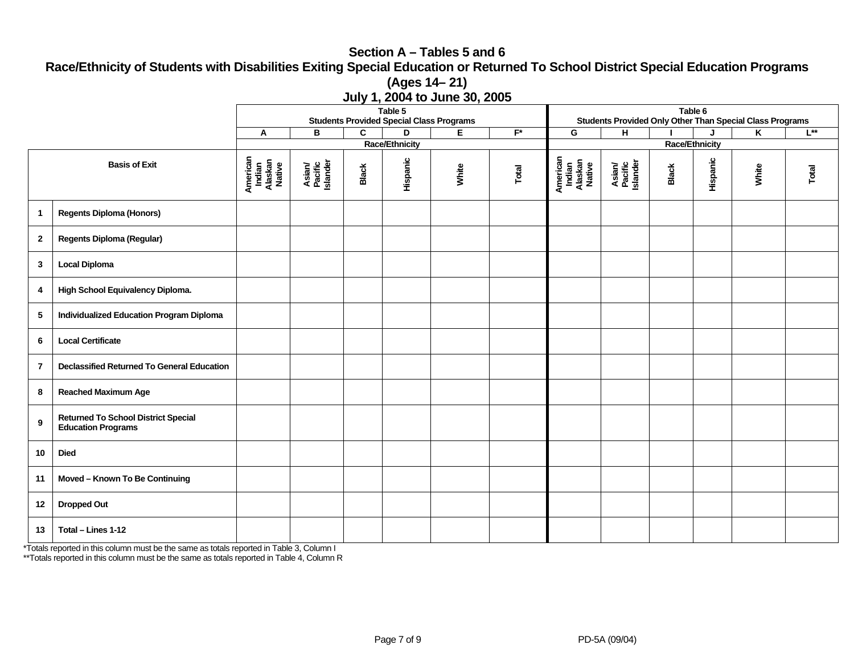#### **Section A – Tables 5 and 6 Race/Ethnicity of Students with Disabilities Exiting Special Education or Returned To School District Special Education Programs (Ages 14– 21) July 1, 2004 to June 30, 2005**

|                                                                                             |                                                   |                                         | Table 6<br>Students Provided Only Other Than Special Class Programs |              |                                                      |       |                         |                                         |                               |                       |          |       |          |
|---------------------------------------------------------------------------------------------|---------------------------------------------------|-----------------------------------------|---------------------------------------------------------------------|--------------|------------------------------------------------------|-------|-------------------------|-----------------------------------------|-------------------------------|-----------------------|----------|-------|----------|
|                                                                                             |                                                   | Α                                       | В                                                                   | C            | <b>Students Provided Special Class Programs</b><br>D | E.    | $\overline{\mathbf{r}}$ | G                                       | H.                            |                       | J        | K     | $L^{**}$ |
|                                                                                             |                                                   |                                         |                                                                     |              | <b>Race/Ethnicity</b>                                |       |                         |                                         |                               | <b>Race/Ethnicity</b> |          |       |          |
| <b>Basis of Exit</b>                                                                        |                                                   | American<br>Indian<br>Alaskan<br>Native | Asian/<br>Pacific<br>Islander                                       | <b>Black</b> | Hispanic                                             | White | Total                   | American<br>Indian<br>Alaskan<br>Native | Asian/<br>Pacific<br>Islander | <b>Black</b>          | Hispanic | White | Total    |
| $\mathbf{1}$                                                                                | <b>Regents Diploma (Honors)</b>                   |                                         |                                                                     |              |                                                      |       |                         |                                         |                               |                       |          |       |          |
| $\mathbf{2}$                                                                                | <b>Regents Diploma (Regular)</b>                  |                                         |                                                                     |              |                                                      |       |                         |                                         |                               |                       |          |       |          |
| 3                                                                                           | <b>Local Diploma</b>                              |                                         |                                                                     |              |                                                      |       |                         |                                         |                               |                       |          |       |          |
| 4                                                                                           | High School Equivalency Diploma.                  |                                         |                                                                     |              |                                                      |       |                         |                                         |                               |                       |          |       |          |
| 5                                                                                           | <b>Individualized Education Program Diploma</b>   |                                         |                                                                     |              |                                                      |       |                         |                                         |                               |                       |          |       |          |
| 6                                                                                           | <b>Local Certificate</b>                          |                                         |                                                                     |              |                                                      |       |                         |                                         |                               |                       |          |       |          |
| $\overline{7}$                                                                              | <b>Declassified Returned To General Education</b> |                                         |                                                                     |              |                                                      |       |                         |                                         |                               |                       |          |       |          |
| 8                                                                                           | <b>Reached Maximum Age</b>                        |                                         |                                                                     |              |                                                      |       |                         |                                         |                               |                       |          |       |          |
| <b>Returned To School District Special</b><br>$\boldsymbol{9}$<br><b>Education Programs</b> |                                                   |                                         |                                                                     |              |                                                      |       |                         |                                         |                               |                       |          |       |          |
| 10                                                                                          | <b>Died</b>                                       |                                         |                                                                     |              |                                                      |       |                         |                                         |                               |                       |          |       |          |
| 11                                                                                          | Moved - Known To Be Continuing                    |                                         |                                                                     |              |                                                      |       |                         |                                         |                               |                       |          |       |          |
| 12                                                                                          | <b>Dropped Out</b>                                |                                         |                                                                     |              |                                                      |       |                         |                                         |                               |                       |          |       |          |
| 13                                                                                          | Total - Lines 1-12                                |                                         |                                                                     |              |                                                      |       |                         |                                         |                               |                       |          |       |          |

\*Totals reported in this column must be the same as totals reported in Table 3, Column I

\*\*Totals reported in this column must be the same as totals reported in Table 4, Column R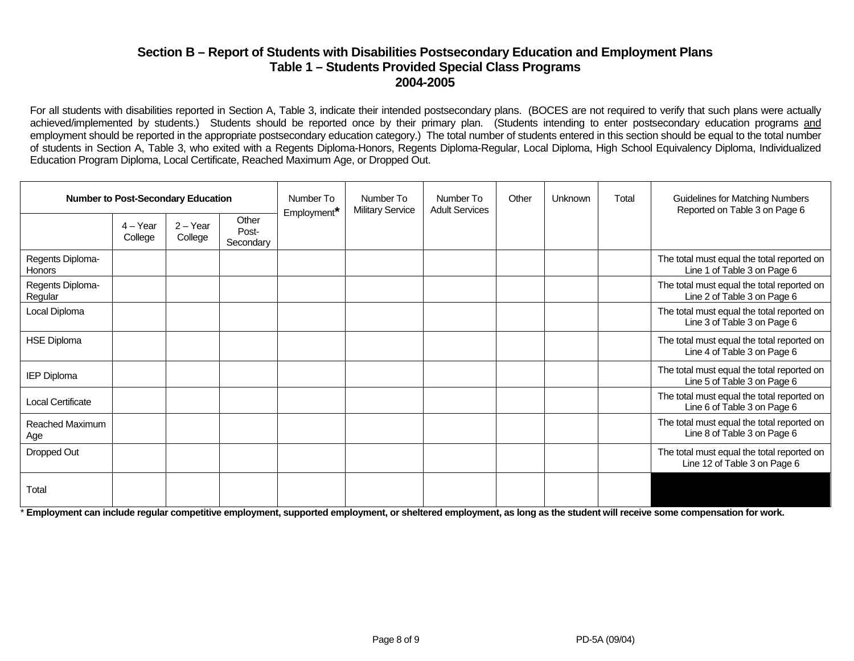#### **Section B – Report of Students with Disabilities Postsecondary Education and Employment Plans Table 1 – Students Provided Special Class Programs 2004-2005**

For all students with disabilities reported in Section A, Table 3, indicate their intended postsecondary plans. (BOCES are not required to verify that such plans were actually achieved/implemented by students.) Students should be reported once by their primary plan. (Students intending to enter postsecondary education programs and employment should be reported in the appropriate postsecondary education category.) The total number of students entered in this section should be equal to the total number of students in Section A, Table 3, who exited with a Regents Diploma-Honors, Regents Diploma-Regular, Local Diploma, High School Equivalency Diploma, Individualized Education Program Diploma, Local Certificate, Reached Maximum Age, or Dropped Out.

| <b>Number to Post-Secondary Education</b> |                       |                       |                             | Number To<br>Employment* | Number To<br><b>Military Service</b> | Number To<br><b>Adult Services</b> | Other | Unknown | Total | Guidelines for Matching Numbers<br>Reported on Table 3 on Page 6           |
|-------------------------------------------|-----------------------|-----------------------|-----------------------------|--------------------------|--------------------------------------|------------------------------------|-------|---------|-------|----------------------------------------------------------------------------|
|                                           | $4 - Year$<br>College | $2 - Year$<br>College | Other<br>Post-<br>Secondary |                          |                                      |                                    |       |         |       |                                                                            |
| Regents Diploma-<br><b>Honors</b>         |                       |                       |                             |                          |                                      |                                    |       |         |       | The total must equal the total reported on<br>Line 1 of Table 3 on Page 6  |
| Regents Diploma-<br>Regular               |                       |                       |                             |                          |                                      |                                    |       |         |       | The total must equal the total reported on<br>Line 2 of Table 3 on Page 6  |
| Local Diploma                             |                       |                       |                             |                          |                                      |                                    |       |         |       | The total must equal the total reported on<br>Line 3 of Table 3 on Page 6  |
| <b>HSE Diploma</b>                        |                       |                       |                             |                          |                                      |                                    |       |         |       | The total must equal the total reported on<br>Line 4 of Table 3 on Page 6  |
| <b>IEP Diploma</b>                        |                       |                       |                             |                          |                                      |                                    |       |         |       | The total must equal the total reported on<br>Line 5 of Table 3 on Page 6  |
| <b>Local Certificate</b>                  |                       |                       |                             |                          |                                      |                                    |       |         |       | The total must equal the total reported on<br>Line 6 of Table 3 on Page 6  |
| Reached Maximum<br>Age                    |                       |                       |                             |                          |                                      |                                    |       |         |       | The total must equal the total reported on<br>Line 8 of Table 3 on Page 6  |
| Dropped Out                               |                       |                       |                             |                          |                                      |                                    |       |         |       | The total must equal the total reported on<br>Line 12 of Table 3 on Page 6 |
| Total                                     |                       |                       |                             |                          |                                      |                                    |       |         |       |                                                                            |

\* **Employment can include regular competitive employment, supported employment, or sheltered employment, as long as the student will receive some compensation for work.**